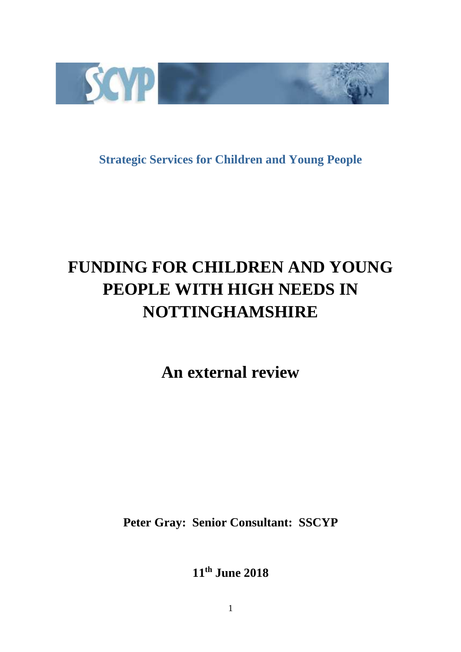

**Strategic Services for Children and Young People** 

# **FUNDING FOR CHILDREN AND YOUNG PEOPLE WITH HIGH NEEDS IN NOTTINGHAMSHIRE**

**An external review** 

**Peter Gray: Senior Consultant: SSCYP** 

**11th June 2018**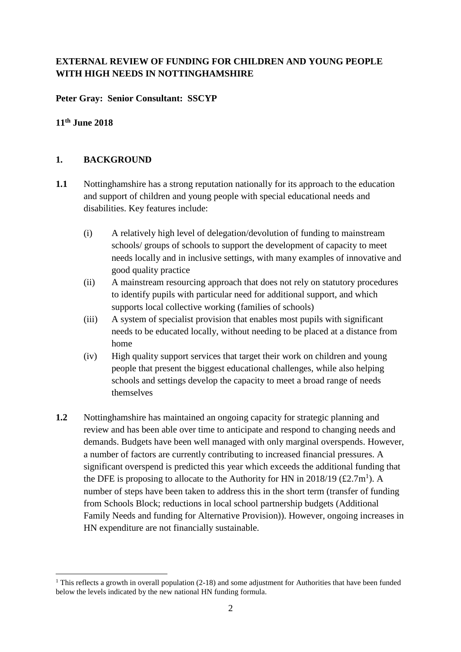# **EXTERNAL REVIEW OF FUNDING FOR CHILDREN AND YOUNG PEOPLE WITH HIGH NEEDS IN NOTTINGHAMSHIRE**

## **Peter Gray: Senior Consultant: SSCYP**

# **11th June 2018**

# **1. BACKGROUND**

- **1.1** Nottinghamshire has a strong reputation nationally for its approach to the education and support of children and young people with special educational needs and disabilities. Key features include:
	- (i) A relatively high level of delegation/devolution of funding to mainstream schools/ groups of schools to support the development of capacity to meet needs locally and in inclusive settings, with many examples of innovative and good quality practice
	- (ii) A mainstream resourcing approach that does not rely on statutory procedures to identify pupils with particular need for additional support, and which supports local collective working (families of schools)
	- (iii) A system of specialist provision that enables most pupils with significant needs to be educated locally, without needing to be placed at a distance from home
	- (iv) High quality support services that target their work on children and young people that present the biggest educational challenges, while also helping schools and settings develop the capacity to meet a broad range of needs themselves
- **1.2** Nottinghamshire has maintained an ongoing capacity for strategic planning and review and has been able over time to anticipate and respond to changing needs and demands. Budgets have been well managed with only marginal overspends. However, a number of factors are currently contributing to increased financial pressures. A significant overspend is predicted this year which exceeds the additional funding that the DFE is proposing to allocate to the Authority for HN in 2018/19 (£2.7m<sup>1</sup>). A number of steps have been taken to address this in the short term (transfer of funding from Schools Block; reductions in local school partnership budgets (Additional Family Needs and funding for Alternative Provision)). However, ongoing increases in HN expenditure are not financially sustainable.

 $\overline{a}$ <sup>1</sup> This reflects a growth in overall population  $(2-18)$  and some adjustment for Authorities that have been funded below the levels indicated by the new national HN funding formula.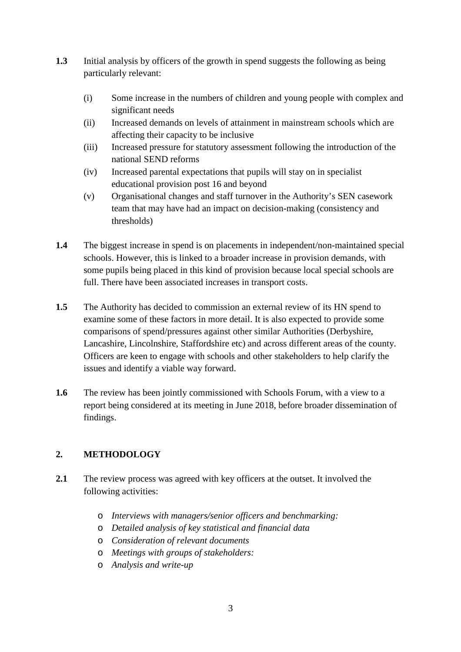- **1.3** Initial analysis by officers of the growth in spend suggests the following as being particularly relevant:
	- (i) Some increase in the numbers of children and young people with complex and significant needs
	- (ii) Increased demands on levels of attainment in mainstream schools which are affecting their capacity to be inclusive
	- (iii) Increased pressure for statutory assessment following the introduction of the national SEND reforms
	- (iv) Increased parental expectations that pupils will stay on in specialist educational provision post 16 and beyond
	- (v) Organisational changes and staff turnover in the Authority's SEN casework team that may have had an impact on decision-making (consistency and thresholds)
- **1.4** The biggest increase in spend is on placements in independent/non-maintained special schools. However, this is linked to a broader increase in provision demands, with some pupils being placed in this kind of provision because local special schools are full. There have been associated increases in transport costs.
- **1.5** The Authority has decided to commission an external review of its HN spend to examine some of these factors in more detail. It is also expected to provide some comparisons of spend/pressures against other similar Authorities (Derbyshire, Lancashire, Lincolnshire, Staffordshire etc) and across different areas of the county. Officers are keen to engage with schools and other stakeholders to help clarify the issues and identify a viable way forward.
- **1.6** The review has been jointly commissioned with Schools Forum, with a view to a report being considered at its meeting in June 2018, before broader dissemination of findings.

# **2. METHODOLOGY**

- **2.1** The review process was agreed with key officers at the outset. It involved the following activities:
	- o *Interviews with managers/senior officers and benchmarking:*
	- o *Detailed analysis of key statistical and financial data*
	- o *Consideration of relevant documents*
	- o *Meetings with groups of stakeholders:*
	- o *Analysis and write-up*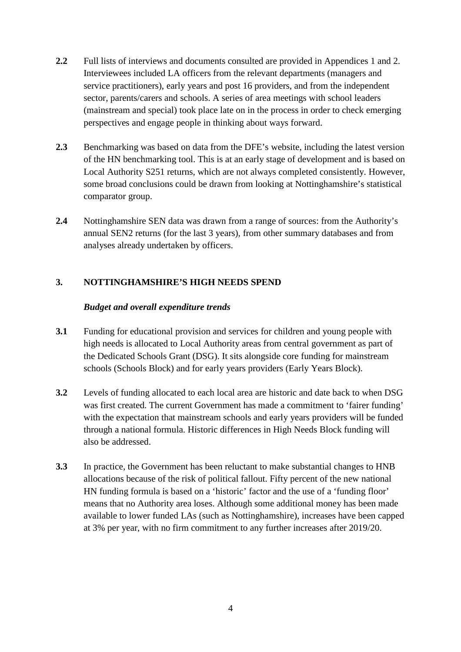- **2.2** Full lists of interviews and documents consulted are provided in Appendices 1 and 2. Interviewees included LA officers from the relevant departments (managers and service practitioners), early years and post 16 providers, and from the independent sector, parents/carers and schools. A series of area meetings with school leaders (mainstream and special) took place late on in the process in order to check emerging perspectives and engage people in thinking about ways forward.
- 2.3 Benchmarking was based on data from the DFE's website, including the latest version of the HN benchmarking tool. This is at an early stage of development and is based on Local Authority S251 returns, which are not always completed consistently. However, some broad conclusions could be drawn from looking at Nottinghamshire's statistical comparator group.
- **2.4** Nottinghamshire SEN data was drawn from a range of sources: from the Authority's annual SEN2 returns (for the last 3 years), from other summary databases and from analyses already undertaken by officers.

# **3. NOTTINGHAMSHIRE'S HIGH NEEDS SPEND**

#### *Budget and overall expenditure trends*

- **3.1** Funding for educational provision and services for children and young people with high needs is allocated to Local Authority areas from central government as part of the Dedicated Schools Grant (DSG). It sits alongside core funding for mainstream schools (Schools Block) and for early years providers (Early Years Block).
- **3.2** Levels of funding allocated to each local area are historic and date back to when DSG was first created. The current Government has made a commitment to 'fairer funding' with the expectation that mainstream schools and early years providers will be funded through a national formula. Historic differences in High Needs Block funding will also be addressed.
- **3.3** In practice, the Government has been reluctant to make substantial changes to HNB allocations because of the risk of political fallout. Fifty percent of the new national HN funding formula is based on a 'historic' factor and the use of a 'funding floor' means that no Authority area loses. Although some additional money has been made available to lower funded LAs (such as Nottinghamshire), increases have been capped at 3% per year, with no firm commitment to any further increases after 2019/20.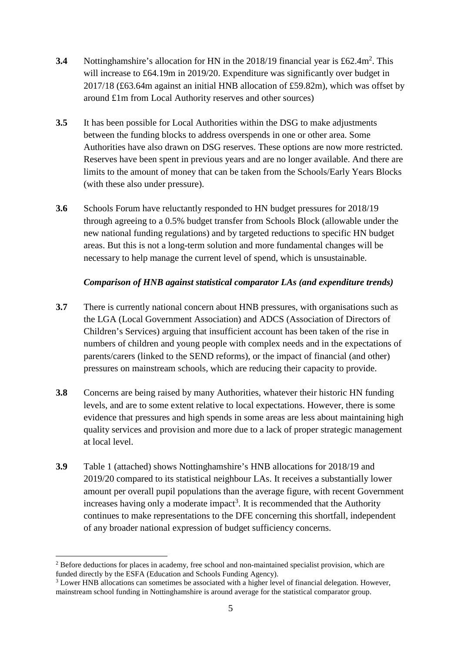- **3.4** Nottinghamshire's allocation for HN in the 2018/19 financial year is £62.4m<sup>2</sup>. This will increase to £64.19m in 2019/20. Expenditure was significantly over budget in 2017/18 (£63.64m against an initial HNB allocation of £59.82m), which was offset by around £1m from Local Authority reserves and other sources)
- **3.5** It has been possible for Local Authorities within the DSG to make adjustments between the funding blocks to address overspends in one or other area. Some Authorities have also drawn on DSG reserves. These options are now more restricted. Reserves have been spent in previous years and are no longer available. And there are limits to the amount of money that can be taken from the Schools/Early Years Blocks (with these also under pressure).
- **3.6** Schools Forum have reluctantly responded to HN budget pressures for 2018/19 through agreeing to a 0.5% budget transfer from Schools Block (allowable under the new national funding regulations) and by targeted reductions to specific HN budget areas. But this is not a long-term solution and more fundamental changes will be necessary to help manage the current level of spend, which is unsustainable.

# *Comparison of HNB against statistical comparator LAs (and expenditure trends)*

- **3.7** There is currently national concern about HNB pressures, with organisations such as the LGA (Local Government Association) and ADCS (Association of Directors of Children's Services) arguing that insufficient account has been taken of the rise in numbers of children and young people with complex needs and in the expectations of parents/carers (linked to the SEND reforms), or the impact of financial (and other) pressures on mainstream schools, which are reducing their capacity to provide.
- **3.8** Concerns are being raised by many Authorities, whatever their historic HN funding levels, and are to some extent relative to local expectations. However, there is some evidence that pressures and high spends in some areas are less about maintaining high quality services and provision and more due to a lack of proper strategic management at local level.
- **3.9** Table 1 (attached) shows Nottinghamshire's HNB allocations for 2018/19 and 2019/20 compared to its statistical neighbour LAs. It receives a substantially lower amount per overall pupil populations than the average figure, with recent Government increases having only a moderate impact<sup>3</sup>. It is recommended that the Authority continues to make representations to the DFE concerning this shortfall, independent of any broader national expression of budget sufficiency concerns.

<sup>&</sup>lt;sup>2</sup> Before deductions for places in academy, free school and non-maintained specialist provision, which are funded directly by the ESFA (Education and Schools Funding Agency).

 $3$  Lower HNB allocations can sometimes be associated with a higher level of financial delegation. However, mainstream school funding in Nottinghamshire is around average for the statistical comparator group.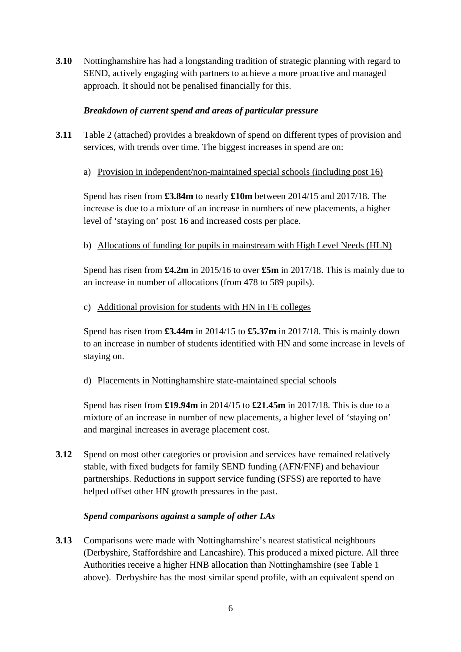**3.10** Nottinghamshire has had a longstanding tradition of strategic planning with regard to SEND, actively engaging with partners to achieve a more proactive and managed approach. It should not be penalised financially for this.

# *Breakdown of current spend and areas of particular pressure*

- **3.11** Table 2 (attached) provides a breakdown of spend on different types of provision and services, with trends over time. The biggest increases in spend are on:
	- a) Provision in independent/non-maintained special schools (including post 16)

Spend has risen from **£3.84m** to nearly **£10m** between 2014/15 and 2017/18. The increase is due to a mixture of an increase in numbers of new placements, a higher level of 'staying on' post 16 and increased costs per place.

# b) Allocations of funding for pupils in mainstream with High Level Needs (HLN)

Spend has risen from **£4.2m** in 2015/16 to over **£5m** in 2017/18. This is mainly due to an increase in number of allocations (from 478 to 589 pupils).

## c) Additional provision for students with HN in FE colleges

Spend has risen from **£3.44m** in 2014/15 to **£5.37m** in 2017/18. This is mainly down to an increase in number of students identified with HN and some increase in levels of staying on.

d) Placements in Nottinghamshire state-maintained special schools

Spend has risen from **£19.94m** in 2014/15 to **£21.45m** in 2017/18. This is due to a mixture of an increase in number of new placements, a higher level of 'staying on' and marginal increases in average placement cost.

**3.12** Spend on most other categories or provision and services have remained relatively stable, with fixed budgets for family SEND funding (AFN/FNF) and behaviour partnerships. Reductions in support service funding (SFSS) are reported to have helped offset other HN growth pressures in the past.

## *Spend comparisons against a sample of other LAs*

**3.13** Comparisons were made with Nottinghamshire's nearest statistical neighbours (Derbyshire, Staffordshire and Lancashire). This produced a mixed picture. All three Authorities receive a higher HNB allocation than Nottinghamshire (see Table 1 above). Derbyshire has the most similar spend profile, with an equivalent spend on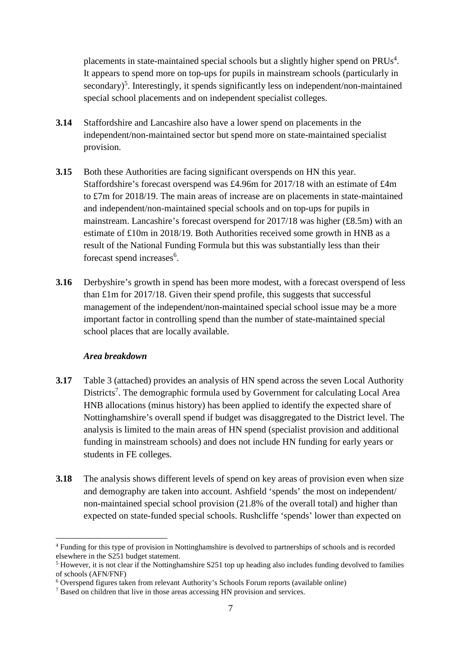placements in state-maintained special schools but a slightly higher spend on  $PRUs<sup>4</sup>$ . It appears to spend more on top-ups for pupils in mainstream schools (particularly in secondary)<sup>5</sup>. Interestingly, it spends significantly less on independent/non-maintained special school placements and on independent specialist colleges.

- **3.14** Staffordshire and Lancashire also have a lower spend on placements in the independent/non-maintained sector but spend more on state-maintained specialist provision.
- **3.15** Both these Authorities are facing significant overspends on HN this year. Staffordshire's forecast overspend was £4.96m for 2017/18 with an estimate of £4m to £7m for 2018/19. The main areas of increase are on placements in state-maintained and independent/non-maintained special schools and on top-ups for pupils in mainstream. Lancashire's forecast overspend for 2017/18 was higher (£8.5m) with an estimate of £10m in 2018/19. Both Authorities received some growth in HNB as a result of the National Funding Formula but this was substantially less than their forecast spend increases<sup>6</sup>.
- **3.16** Derbyshire's growth in spend has been more modest, with a forecast overspend of less than £1m for 2017/18. Given their spend profile, this suggests that successful management of the independent/non-maintained special school issue may be a more important factor in controlling spend than the number of state-maintained special school places that are locally available.

#### *Area breakdown*

- **3.17** Table 3 (attached) provides an analysis of HN spend across the seven Local Authority Districts<sup>7</sup>. The demographic formula used by Government for calculating Local Area HNB allocations (minus history) has been applied to identify the expected share of Nottinghamshire's overall spend if budget was disaggregated to the District level. The analysis is limited to the main areas of HN spend (specialist provision and additional funding in mainstream schools) and does not include HN funding for early years or students in FE colleges.
- **3.18** The analysis shows different levels of spend on key areas of provision even when size and demography are taken into account. Ashfield 'spends' the most on independent/ non-maintained special school provision (21.8% of the overall total) and higher than expected on state-funded special schools. Rushcliffe 'spends' lower than expected on

<sup>&</sup>lt;sup>4</sup> Funding for this type of provision in Nottinghamshire is devolved to partnerships of schools and is recorded elsewhere in the S251 budget statement.

<sup>&</sup>lt;sup>5</sup> However, it is not clear if the Nottinghamshire S251 top up heading also includes funding devolved to families of schools (AFN/FNF)

<sup>&</sup>lt;sup>6</sup> Overspend figures taken from relevant Authority's Schools Forum reports (available online)

<sup>&</sup>lt;sup>7</sup> Based on children that live in those areas accessing HN provision and services.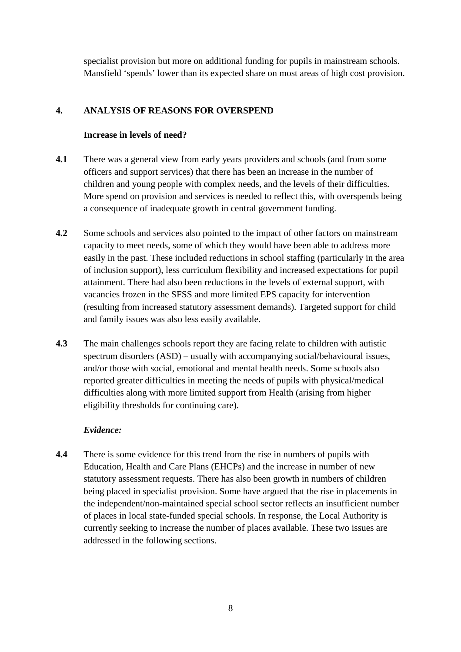specialist provision but more on additional funding for pupils in mainstream schools. Mansfield 'spends' lower than its expected share on most areas of high cost provision.

# **4. ANALYSIS OF REASONS FOR OVERSPEND**

#### **Increase in levels of need?**

- **4.1** There was a general view from early years providers and schools (and from some officers and support services) that there has been an increase in the number of children and young people with complex needs, and the levels of their difficulties. More spend on provision and services is needed to reflect this, with overspends being a consequence of inadequate growth in central government funding.
- **4.2** Some schools and services also pointed to the impact of other factors on mainstream capacity to meet needs, some of which they would have been able to address more easily in the past. These included reductions in school staffing (particularly in the area of inclusion support), less curriculum flexibility and increased expectations for pupil attainment. There had also been reductions in the levels of external support, with vacancies frozen in the SFSS and more limited EPS capacity for intervention (resulting from increased statutory assessment demands). Targeted support for child and family issues was also less easily available.
- **4.3** The main challenges schools report they are facing relate to children with autistic spectrum disorders (ASD) – usually with accompanying social/behavioural issues, and/or those with social, emotional and mental health needs. Some schools also reported greater difficulties in meeting the needs of pupils with physical/medical difficulties along with more limited support from Health (arising from higher eligibility thresholds for continuing care).

## *Evidence:*

**4.4** There is some evidence for this trend from the rise in numbers of pupils with Education, Health and Care Plans (EHCPs) and the increase in number of new statutory assessment requests. There has also been growth in numbers of children being placed in specialist provision. Some have argued that the rise in placements in the independent/non-maintained special school sector reflects an insufficient number of places in local state-funded special schools. In response, the Local Authority is currently seeking to increase the number of places available. These two issues are addressed in the following sections.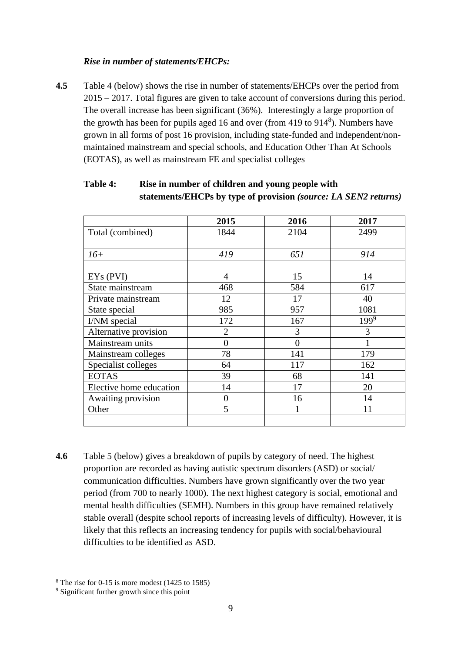## *Rise in number of statements/EHCPs:*

**4.5** Table 4 (below) shows the rise in number of statements/EHCPs over the period from 2015 – 2017. Total figures are given to take account of conversions during this period. The overall increase has been significant (36%). Interestingly a large proportion of the growth has been for pupils aged 16 and over (from 419 to  $914<sup>8</sup>$ ). Numbers have grown in all forms of post 16 provision, including state-funded and independent/nonmaintained mainstream and special schools, and Education Other Than At Schools (EOTAS), as well as mainstream FE and specialist colleges

|                         | 2015           | 2016     | 2017      |
|-------------------------|----------------|----------|-----------|
| Total (combined)        | 1844           | 2104     | 2499      |
|                         |                |          |           |
| $16+$                   | 419            | 651      | 914       |
| EYs (PVI)               | 4              | 15       | 14        |
| State mainstream        | 468            | 584      | 617       |
| Private mainstream      | 12             | 17       | 40        |
| State special           | 985            | 957      | 1081      |
| I/NM special            | 172            | 167      | $199^{9}$ |
| Alternative provision   | $\overline{2}$ | 3        | 3         |
| Mainstream units        | 0              | $\Omega$ |           |
| Mainstream colleges     | 78             | 141      | 179       |
| Specialist colleges     | 64             | 117      | 162       |
| <b>EOTAS</b>            | 39             | 68       | 141       |
| Elective home education | 14             | 17       | 20        |
| Awaiting provision      | $\overline{0}$ | 16       | 14        |
| Other                   | 5              | 1        | 11        |
|                         |                |          |           |

# **Table 4: Rise in number of children and young people with statements/EHCPs by type of provision** *(source: LA SEN2 returns)*

**4.6** Table 5 (below) gives a breakdown of pupils by category of need. The highest proportion are recorded as having autistic spectrum disorders (ASD) or social/ communication difficulties. Numbers have grown significantly over the two year period (from 700 to nearly 1000). The next highest category is social, emotional and mental health difficulties (SEMH). Numbers in this group have remained relatively stable overall (despite school reports of increasing levels of difficulty). However, it is likely that this reflects an increasing tendency for pupils with social/behavioural difficulties to be identified as ASD.

 $\overline{a}$ 8 The rise for 0-15 is more modest (1425 to 1585)

<sup>9</sup> Significant further growth since this point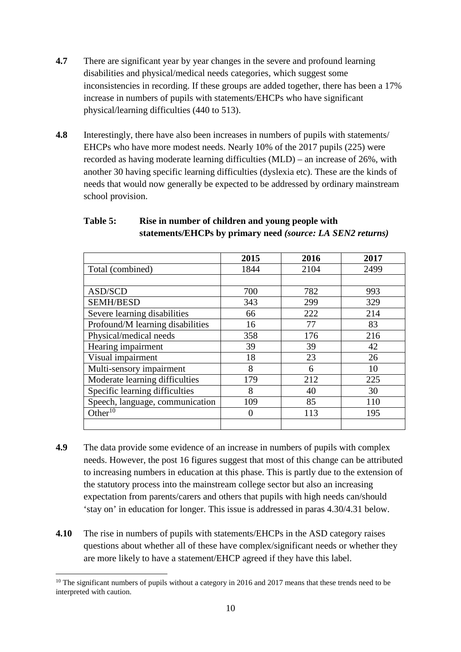- **4.7** There are significant year by year changes in the severe and profound learning disabilities and physical/medical needs categories, which suggest some inconsistencies in recording. If these groups are added together, there has been a 17% increase in numbers of pupils with statements/EHCPs who have significant physical/learning difficulties (440 to 513).
- **4.8** Interestingly, there have also been increases in numbers of pupils with statements/ EHCPs who have more modest needs. Nearly 10% of the 2017 pupils (225) were recorded as having moderate learning difficulties (MLD) – an increase of 26%, with another 30 having specific learning difficulties (dyslexia etc). These are the kinds of needs that would now generally be expected to be addressed by ordinary mainstream school provision.

|                                  | 2015 | 2016 | 2017 |
|----------------------------------|------|------|------|
| Total (combined)                 | 1844 | 2104 | 2499 |
|                                  |      |      |      |
| ASD/SCD                          | 700  | 782  | 993  |
| <b>SEMH/BESD</b>                 | 343  | 299  | 329  |
| Severe learning disabilities     | 66   | 222  | 214  |
| Profound/M learning disabilities | 16   | 77   | 83   |
| Physical/medical needs           | 358  | 176  | 216  |
| Hearing impairment               | 39   | 39   | 42   |
| Visual impairment                | 18   | 23   | 26   |
| Multi-sensory impairment         | 8    | 6    | 10   |
| Moderate learning difficulties   | 179  | 212  | 225  |
| Specific learning difficulties   | 8    | 40   | 30   |
| Speech, language, communication  | 109  | 85   | 110  |
| Other $10$                       | 0    | 113  | 195  |
|                                  |      |      |      |

# **Table 5: Rise in number of children and young people with statements/EHCPs by primary need** *(source: LA SEN2 returns)*

- **4.9** The data provide some evidence of an increase in numbers of pupils with complex needs. However, the post 16 figures suggest that most of this change can be attributed to increasing numbers in education at this phase. This is partly due to the extension of the statutory process into the mainstream college sector but also an increasing expectation from parents/carers and others that pupils with high needs can/should 'stay on' in education for longer. This issue is addressed in paras 4.30/4.31 below.
- **4.10** The rise in numbers of pupils with statements/EHCPs in the ASD category raises questions about whether all of these have complex/significant needs or whether they are more likely to have a statement/EHCP agreed if they have this label.

 $\overline{a}$ <sup>10</sup> The significant numbers of pupils without a category in 2016 and 2017 means that these trends need to be interpreted with caution.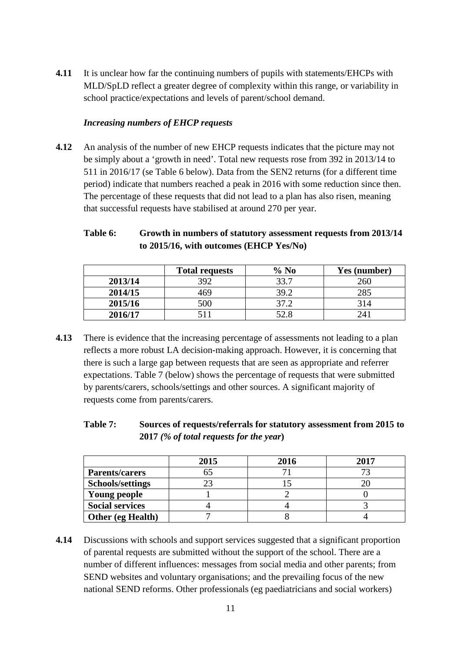**4.11** It is unclear how far the continuing numbers of pupils with statements/EHCPs with MLD/SpLD reflect a greater degree of complexity within this range, or variability in school practice/expectations and levels of parent/school demand.

## *Increasing numbers of EHCP requests*

**4.12** An analysis of the number of new EHCP requests indicates that the picture may not be simply about a 'growth in need'. Total new requests rose from 392 in 2013/14 to 511 in 2016/17 (se Table 6 below). Data from the SEN2 returns (for a different time period) indicate that numbers reached a peak in 2016 with some reduction since then. The percentage of these requests that did not lead to a plan has also risen, meaning that successful requests have stabilised at around 270 per year.

# **Table 6: Growth in numbers of statutory assessment requests from 2013/14 to 2015/16, with outcomes (EHCP Yes/No)**

|         | <b>Total requests</b> | $%$ No | Yes (number) |
|---------|-----------------------|--------|--------------|
| 2013/14 | 392                   | 33.7   | 260          |
| 2014/15 | 469                   | 39.2   | 285          |
| 2015/16 | 500                   | 37 J   | 314          |
| 2016/17 |                       | 52.8   |              |

**4.13** There is evidence that the increasing percentage of assessments not leading to a plan reflects a more robust LA decision-making approach. However, it is concerning that there is such a large gap between requests that are seen as appropriate and referrer expectations. Table 7 (below) shows the percentage of requests that were submitted by parents/carers, schools/settings and other sources. A significant majority of requests come from parents/carers.

# **Table 7: Sources of requests/referrals for statutory assessment from 2015 to 2017** *(% of total requests for the year***)**

|                         | 2015 | 2016 | 2017 |
|-------------------------|------|------|------|
| <b>Parents/carers</b>   |      |      |      |
| <b>Schools/settings</b> |      |      |      |
| Young people            |      |      |      |
| <b>Social services</b>  |      |      |      |
| Other (eg Health)       |      |      |      |

**4.14** Discussions with schools and support services suggested that a significant proportion of parental requests are submitted without the support of the school. There are a number of different influences: messages from social media and other parents; from SEND websites and voluntary organisations; and the prevailing focus of the new national SEND reforms. Other professionals (eg paediatricians and social workers)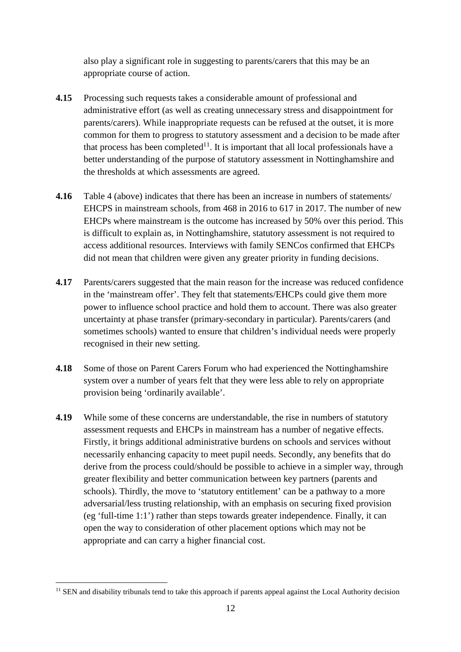also play a significant role in suggesting to parents/carers that this may be an appropriate course of action.

- **4.15** Processing such requests takes a considerable amount of professional and administrative effort (as well as creating unnecessary stress and disappointment for parents/carers). While inappropriate requests can be refused at the outset, it is more common for them to progress to statutory assessment and a decision to be made after that process has been completed<sup>11</sup>. It is important that all local professionals have a better understanding of the purpose of statutory assessment in Nottinghamshire and the thresholds at which assessments are agreed.
- **4.16** Table 4 (above) indicates that there has been an increase in numbers of statements/ EHCPS in mainstream schools, from 468 in 2016 to 617 in 2017. The number of new EHCPs where mainstream is the outcome has increased by 50% over this period. This is difficult to explain as, in Nottinghamshire, statutory assessment is not required to access additional resources. Interviews with family SENCos confirmed that EHCPs did not mean that children were given any greater priority in funding decisions.
- **4.17** Parents/carers suggested that the main reason for the increase was reduced confidence in the 'mainstream offer'. They felt that statements/EHCPs could give them more power to influence school practice and hold them to account. There was also greater uncertainty at phase transfer (primary-secondary in particular). Parents/carers (and sometimes schools) wanted to ensure that children's individual needs were properly recognised in their new setting.
- **4.18** Some of those on Parent Carers Forum who had experienced the Nottinghamshire system over a number of years felt that they were less able to rely on appropriate provision being 'ordinarily available'.
- **4.19** While some of these concerns are understandable, the rise in numbers of statutory assessment requests and EHCPs in mainstream has a number of negative effects. Firstly, it brings additional administrative burdens on schools and services without necessarily enhancing capacity to meet pupil needs. Secondly, any benefits that do derive from the process could/should be possible to achieve in a simpler way, through greater flexibility and better communication between key partners (parents and schools). Thirdly, the move to 'statutory entitlement' can be a pathway to a more adversarial/less trusting relationship, with an emphasis on securing fixed provision (eg 'full-time 1:1') rather than steps towards greater independence. Finally, it can open the way to consideration of other placement options which may not be appropriate and can carry a higher financial cost.

 $11$  SEN and disability tribunals tend to take this approach if parents appeal against the Local Authority decision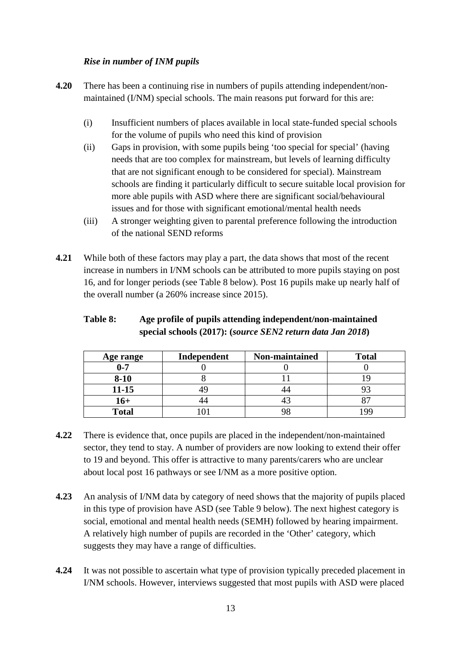# *Rise in number of INM pupils*

- **4.20** There has been a continuing rise in numbers of pupils attending independent/nonmaintained (I/NM) special schools. The main reasons put forward for this are:
	- (i) Insufficient numbers of places available in local state-funded special schools for the volume of pupils who need this kind of provision
	- (ii) Gaps in provision, with some pupils being 'too special for special' (having needs that are too complex for mainstream, but levels of learning difficulty that are not significant enough to be considered for special). Mainstream schools are finding it particularly difficult to secure suitable local provision for more able pupils with ASD where there are significant social/behavioural issues and for those with significant emotional/mental health needs
	- (iii) A stronger weighting given to parental preference following the introduction of the national SEND reforms
- **4.21** While both of these factors may play a part, the data shows that most of the recent increase in numbers in I/NM schools can be attributed to more pupils staying on post 16, and for longer periods (see Table 8 below). Post 16 pupils make up nearly half of the overall number (a 260% increase since 2015).

## **Table 8: Age profile of pupils attending independent/non-maintained special schools (2017): (***source SEN2 return data Jan 2018***)**

| Age range    | Independent | Non-maintained | <b>Total</b> |
|--------------|-------------|----------------|--------------|
| $0 - 7$      |             |                |              |
| $8 - 10$     |             |                |              |
| $11 - 15$    |             |                |              |
| $16+$        |             |                |              |
| <b>Total</b> |             |                | QQ           |

- **4.22** There is evidence that, once pupils are placed in the independent/non-maintained sector, they tend to stay. A number of providers are now looking to extend their offer to 19 and beyond. This offer is attractive to many parents/carers who are unclear about local post 16 pathways or see I/NM as a more positive option.
- **4.23** An analysis of I/NM data by category of need shows that the majority of pupils placed in this type of provision have ASD (see Table 9 below). The next highest category is social, emotional and mental health needs (SEMH) followed by hearing impairment. A relatively high number of pupils are recorded in the 'Other' category, which suggests they may have a range of difficulties.
- **4.24** It was not possible to ascertain what type of provision typically preceded placement in I/NM schools. However, interviews suggested that most pupils with ASD were placed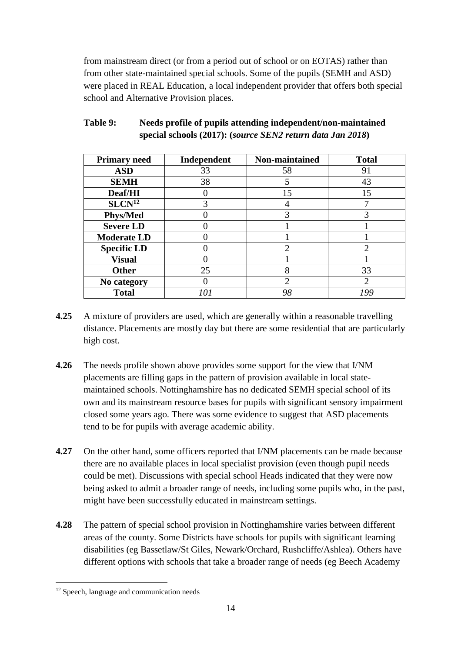from mainstream direct (or from a period out of school or on EOTAS) rather than from other state-maintained special schools. Some of the pupils (SEMH and ASD) were placed in REAL Education, a local independent provider that offers both special school and Alternative Provision places.

| <b>Primary need</b> | Independent | Non-maintained | <b>Total</b>                |
|---------------------|-------------|----------------|-----------------------------|
| <b>ASD</b>          | 33          | 58             | 91                          |
| <b>SEMH</b>         | 38          |                | 43                          |
| Deaf/HI             |             | 15             | 15                          |
| SLCN <sup>12</sup>  | 3           |                | ⇁                           |
| <b>Phys/Med</b>     |             |                |                             |
| <b>Severe LD</b>    |             |                |                             |
| <b>Moderate LD</b>  |             |                |                             |
| <b>Specific LD</b>  |             | ി              | $\mathcal{D}$               |
| <b>Visual</b>       |             |                |                             |
| <b>Other</b>        | 25          | 8              | 33                          |
| No category         |             | ി              | $\mathcal{D}_{\mathcal{L}}$ |
| <b>Total</b>        | 10 i        | 98             | ıgg                         |

# **Table 9: Needs profile of pupils attending independent/non-maintained special schools (2017): (***source SEN2 return data Jan 2018***)**

- **4.25** A mixture of providers are used, which are generally within a reasonable travelling distance. Placements are mostly day but there are some residential that are particularly high cost.
- **4.26** The needs profile shown above provides some support for the view that I/NM placements are filling gaps in the pattern of provision available in local statemaintained schools. Nottinghamshire has no dedicated SEMH special school of its own and its mainstream resource bases for pupils with significant sensory impairment closed some years ago. There was some evidence to suggest that ASD placements tend to be for pupils with average academic ability.
- **4.27** On the other hand, some officers reported that I/NM placements can be made because there are no available places in local specialist provision (even though pupil needs could be met). Discussions with special school Heads indicated that they were now being asked to admit a broader range of needs, including some pupils who, in the past, might have been successfully educated in mainstream settings.
- **4.28** The pattern of special school provision in Nottinghamshire varies between different areas of the county. Some Districts have schools for pupils with significant learning disabilities (eg Bassetlaw/St Giles, Newark/Orchard, Rushcliffe/Ashlea). Others have different options with schools that take a broader range of needs (eg Beech Academy

<sup>&</sup>lt;sup>12</sup> Speech, language and communication needs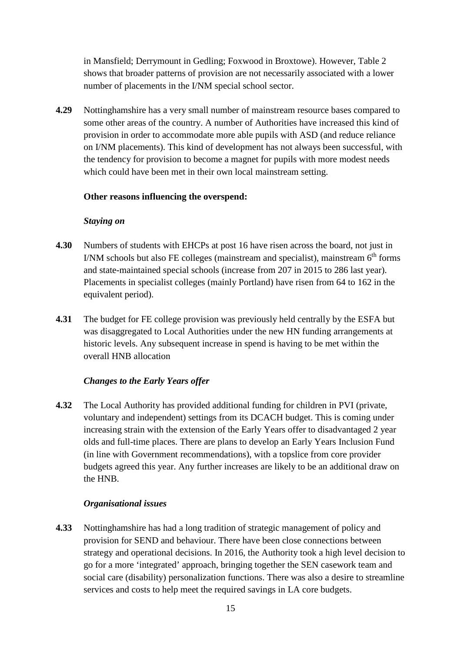in Mansfield; Derrymount in Gedling; Foxwood in Broxtowe). However, Table 2 shows that broader patterns of provision are not necessarily associated with a lower number of placements in the I/NM special school sector.

**4.29** Nottinghamshire has a very small number of mainstream resource bases compared to some other areas of the country. A number of Authorities have increased this kind of provision in order to accommodate more able pupils with ASD (and reduce reliance on I/NM placements). This kind of development has not always been successful, with the tendency for provision to become a magnet for pupils with more modest needs which could have been met in their own local mainstream setting.

#### **Other reasons influencing the overspend:**

#### *Staying on*

- **4.30** Numbers of students with EHCPs at post 16 have risen across the board, not just in I/NM schools but also FE colleges (mainstream and specialist), mainstream  $6<sup>th</sup>$  forms and state-maintained special schools (increase from 207 in 2015 to 286 last year). Placements in specialist colleges (mainly Portland) have risen from 64 to 162 in the equivalent period).
- **4.31** The budget for FE college provision was previously held centrally by the ESFA but was disaggregated to Local Authorities under the new HN funding arrangements at historic levels. Any subsequent increase in spend is having to be met within the overall HNB allocation

## *Changes to the Early Years offer*

**4.32** The Local Authority has provided additional funding for children in PVI (private, voluntary and independent) settings from its DCACH budget. This is coming under increasing strain with the extension of the Early Years offer to disadvantaged 2 year olds and full-time places. There are plans to develop an Early Years Inclusion Fund (in line with Government recommendations), with a topslice from core provider budgets agreed this year. Any further increases are likely to be an additional draw on the HNB.

## *Organisational issues*

**4.33** Nottinghamshire has had a long tradition of strategic management of policy and provision for SEND and behaviour. There have been close connections between strategy and operational decisions. In 2016, the Authority took a high level decision to go for a more 'integrated' approach, bringing together the SEN casework team and social care (disability) personalization functions. There was also a desire to streamline services and costs to help meet the required savings in LA core budgets.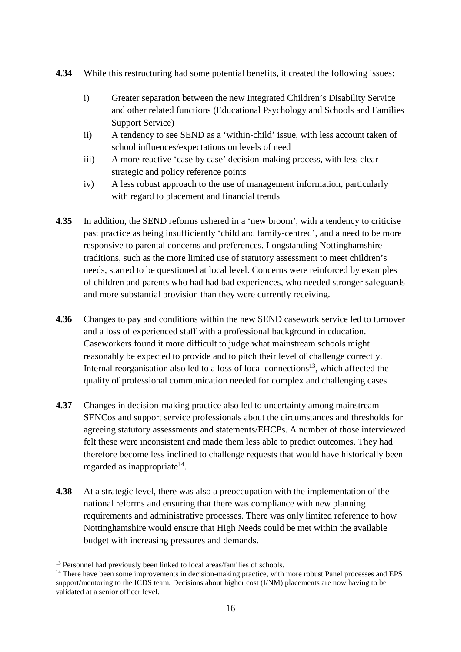- **4.34** While this restructuring had some potential benefits, it created the following issues:
	- i) Greater separation between the new Integrated Children's Disability Service and other related functions (Educational Psychology and Schools and Families Support Service)
	- ii) A tendency to see SEND as a 'within-child' issue, with less account taken of school influences/expectations on levels of need
	- iii) A more reactive 'case by case' decision-making process, with less clear strategic and policy reference points
	- iv) A less robust approach to the use of management information, particularly with regard to placement and financial trends
- **4.35** In addition, the SEND reforms ushered in a 'new broom', with a tendency to criticise past practice as being insufficiently 'child and family-centred', and a need to be more responsive to parental concerns and preferences. Longstanding Nottinghamshire traditions, such as the more limited use of statutory assessment to meet children's needs, started to be questioned at local level. Concerns were reinforced by examples of children and parents who had had bad experiences, who needed stronger safeguards and more substantial provision than they were currently receiving.
- **4.36** Changes to pay and conditions within the new SEND casework service led to turnover and a loss of experienced staff with a professional background in education. Caseworkers found it more difficult to judge what mainstream schools might reasonably be expected to provide and to pitch their level of challenge correctly. Internal reorganisation also led to a loss of local connections<sup>13</sup>, which affected the quality of professional communication needed for complex and challenging cases.
- **4.37** Changes in decision-making practice also led to uncertainty among mainstream SENCos and support service professionals about the circumstances and thresholds for agreeing statutory assessments and statements/EHCPs. A number of those interviewed felt these were inconsistent and made them less able to predict outcomes. They had therefore become less inclined to challenge requests that would have historically been regarded as inappropriate<sup>14</sup>.
- **4.38** At a strategic level, there was also a preoccupation with the implementation of the national reforms and ensuring that there was compliance with new planning requirements and administrative processes. There was only limited reference to how Nottinghamshire would ensure that High Needs could be met within the available budget with increasing pressures and demands.

<sup>&</sup>lt;sup>13</sup> Personnel had previously been linked to local areas/families of schools.

<sup>&</sup>lt;sup>14</sup> There have been some improvements in decision-making practice, with more robust Panel processes and EPS support/mentoring to the ICDS team. Decisions about higher cost (I/NM) placements are now having to be validated at a senior officer level.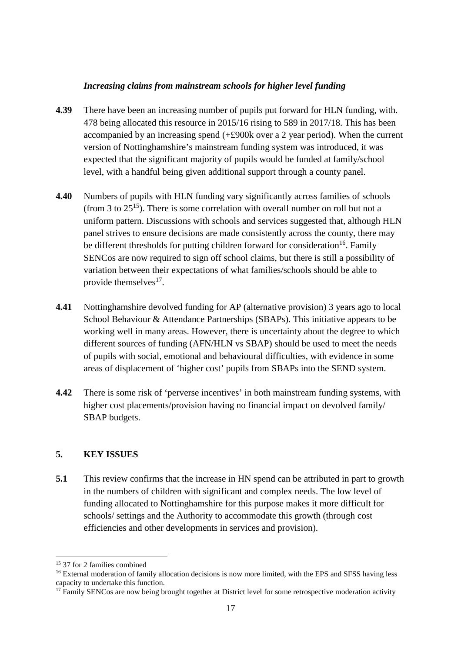## *Increasing claims from mainstream schools for higher level funding*

- **4.39** There have been an increasing number of pupils put forward for HLN funding, with. 478 being allocated this resource in 2015/16 rising to 589 in 2017/18. This has been accompanied by an increasing spend (+£900k over a 2 year period). When the current version of Nottinghamshire's mainstream funding system was introduced, it was expected that the significant majority of pupils would be funded at family/school level, with a handful being given additional support through a county panel.
- **4.40** Numbers of pupils with HLN funding vary significantly across families of schools (from 3 to  $25^{15}$ ). There is some correlation with overall number on roll but not a uniform pattern. Discussions with schools and services suggested that, although HLN panel strives to ensure decisions are made consistently across the county, there may be different thresholds for putting children forward for consideration<sup>16</sup>. Family SENCos are now required to sign off school claims, but there is still a possibility of variation between their expectations of what families/schools should be able to provide themselves<sup>17</sup>.
- **4.41** Nottinghamshire devolved funding for AP (alternative provision) 3 years ago to local School Behaviour & Attendance Partnerships (SBAPs). This initiative appears to be working well in many areas. However, there is uncertainty about the degree to which different sources of funding (AFN/HLN vs SBAP) should be used to meet the needs of pupils with social, emotional and behavioural difficulties, with evidence in some areas of displacement of 'higher cost' pupils from SBAPs into the SEND system.
- **4.42** There is some risk of 'perverse incentives' in both mainstream funding systems, with higher cost placements/provision having no financial impact on devolved family/ SBAP budgets.

# **5. KEY ISSUES**

**5.1** This review confirms that the increase in HN spend can be attributed in part to growth in the numbers of children with significant and complex needs. The low level of funding allocated to Nottinghamshire for this purpose makes it more difficult for schools/ settings and the Authority to accommodate this growth (through cost efficiencies and other developments in services and provision).

<sup>15</sup> 37 for 2 families combined

<sup>&</sup>lt;sup>16</sup> External moderation of family allocation decisions is now more limited, with the EPS and SFSS having less capacity to undertake this function.

<sup>&</sup>lt;sup>17</sup> Family SENCos are now being brought together at District level for some retrospective moderation activity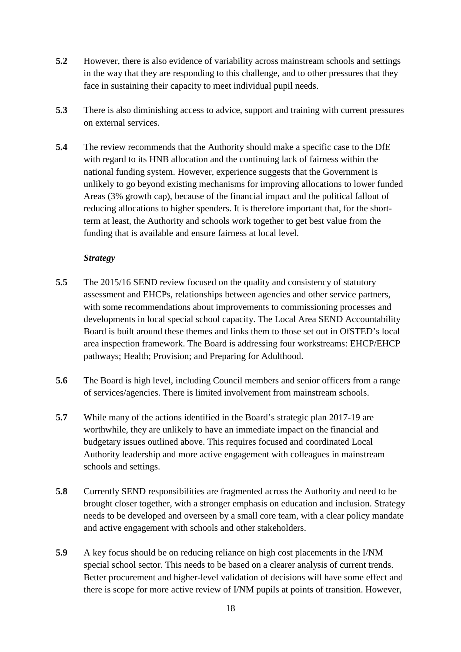- **5.2** However, there is also evidence of variability across mainstream schools and settings in the way that they are responding to this challenge, and to other pressures that they face in sustaining their capacity to meet individual pupil needs.
- **5.3** There is also diminishing access to advice, support and training with current pressures on external services.
- **5.4** The review recommends that the Authority should make a specific case to the DfE with regard to its HNB allocation and the continuing lack of fairness within the national funding system. However, experience suggests that the Government is unlikely to go beyond existing mechanisms for improving allocations to lower funded Areas (3% growth cap), because of the financial impact and the political fallout of reducing allocations to higher spenders. It is therefore important that, for the shortterm at least, the Authority and schools work together to get best value from the funding that is available and ensure fairness at local level.

#### *Strategy*

- **5.5** The 2015/16 SEND review focused on the quality and consistency of statutory assessment and EHCPs, relationships between agencies and other service partners, with some recommendations about improvements to commissioning processes and developments in local special school capacity. The Local Area SEND Accountability Board is built around these themes and links them to those set out in OfSTED's local area inspection framework. The Board is addressing four workstreams: EHCP/EHCP pathways; Health; Provision; and Preparing for Adulthood.
- **5.6** The Board is high level, including Council members and senior officers from a range of services/agencies. There is limited involvement from mainstream schools.
- **5.7** While many of the actions identified in the Board's strategic plan 2017-19 are worthwhile, they are unlikely to have an immediate impact on the financial and budgetary issues outlined above. This requires focused and coordinated Local Authority leadership and more active engagement with colleagues in mainstream schools and settings.
- **5.8** Currently SEND responsibilities are fragmented across the Authority and need to be brought closer together, with a stronger emphasis on education and inclusion. Strategy needs to be developed and overseen by a small core team, with a clear policy mandate and active engagement with schools and other stakeholders.
- **5.9** A key focus should be on reducing reliance on high cost placements in the I/NM special school sector. This needs to be based on a clearer analysis of current trends. Better procurement and higher-level validation of decisions will have some effect and there is scope for more active review of I/NM pupils at points of transition. However,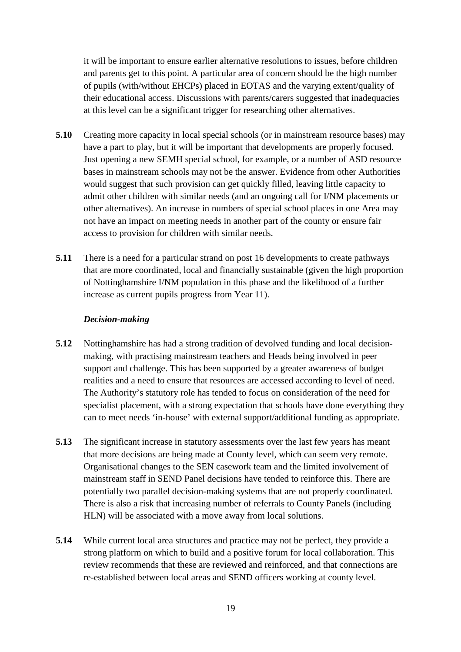it will be important to ensure earlier alternative resolutions to issues, before children and parents get to this point. A particular area of concern should be the high number of pupils (with/without EHCPs) placed in EOTAS and the varying extent/quality of their educational access. Discussions with parents/carers suggested that inadequacies at this level can be a significant trigger for researching other alternatives.

- **5.10** Creating more capacity in local special schools (or in mainstream resource bases) may have a part to play, but it will be important that developments are properly focused. Just opening a new SEMH special school, for example, or a number of ASD resource bases in mainstream schools may not be the answer. Evidence from other Authorities would suggest that such provision can get quickly filled, leaving little capacity to admit other children with similar needs (and an ongoing call for I/NM placements or other alternatives). An increase in numbers of special school places in one Area may not have an impact on meeting needs in another part of the county or ensure fair access to provision for children with similar needs.
- **5.11** There is a need for a particular strand on post 16 developments to create pathways that are more coordinated, local and financially sustainable (given the high proportion of Nottinghamshire I/NM population in this phase and the likelihood of a further increase as current pupils progress from Year 11).

#### *Decision-making*

- **5.12** Nottinghamshire has had a strong tradition of devolved funding and local decisionmaking, with practising mainstream teachers and Heads being involved in peer support and challenge. This has been supported by a greater awareness of budget realities and a need to ensure that resources are accessed according to level of need. The Authority's statutory role has tended to focus on consideration of the need for specialist placement, with a strong expectation that schools have done everything they can to meet needs 'in-house' with external support/additional funding as appropriate.
- **5.13** The significant increase in statutory assessments over the last few years has meant that more decisions are being made at County level, which can seem very remote. Organisational changes to the SEN casework team and the limited involvement of mainstream staff in SEND Panel decisions have tended to reinforce this. There are potentially two parallel decision-making systems that are not properly coordinated. There is also a risk that increasing number of referrals to County Panels (including HLN) will be associated with a move away from local solutions.
- **5.14** While current local area structures and practice may not be perfect, they provide a strong platform on which to build and a positive forum for local collaboration. This review recommends that these are reviewed and reinforced, and that connections are re-established between local areas and SEND officers working at county level.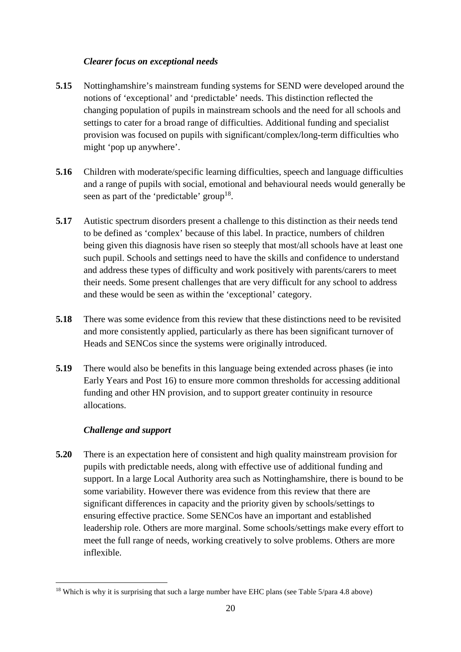# *Clearer focus on exceptional needs*

- **5.15** Nottinghamshire's mainstream funding systems for SEND were developed around the notions of 'exceptional' and 'predictable' needs. This distinction reflected the changing population of pupils in mainstream schools and the need for all schools and settings to cater for a broad range of difficulties. Additional funding and specialist provision was focused on pupils with significant/complex/long-term difficulties who might 'pop up anywhere'.
- **5.16** Children with moderate/specific learning difficulties, speech and language difficulties and a range of pupils with social, emotional and behavioural needs would generally be seen as part of the 'predictable' group<sup>18</sup>.
- **5.17** Autistic spectrum disorders present a challenge to this distinction as their needs tend to be defined as 'complex' because of this label. In practice, numbers of children being given this diagnosis have risen so steeply that most/all schools have at least one such pupil. Schools and settings need to have the skills and confidence to understand and address these types of difficulty and work positively with parents/carers to meet their needs. Some present challenges that are very difficult for any school to address and these would be seen as within the 'exceptional' category.
- **5.18** There was some evidence from this review that these distinctions need to be revisited and more consistently applied, particularly as there has been significant turnover of Heads and SENCos since the systems were originally introduced.
- **5.19** There would also be benefits in this language being extended across phases (ie into Early Years and Post 16) to ensure more common thresholds for accessing additional funding and other HN provision, and to support greater continuity in resource allocations.

# *Challenge and support*

 $\overline{a}$ 

**5.20** There is an expectation here of consistent and high quality mainstream provision for pupils with predictable needs, along with effective use of additional funding and support. In a large Local Authority area such as Nottinghamshire, there is bound to be some variability. However there was evidence from this review that there are significant differences in capacity and the priority given by schools/settings to ensuring effective practice. Some SENCos have an important and established leadership role. Others are more marginal. Some schools/settings make every effort to meet the full range of needs, working creatively to solve problems. Others are more inflexible.

 $18$  Which is why it is surprising that such a large number have EHC plans (see Table 5/para 4.8 above)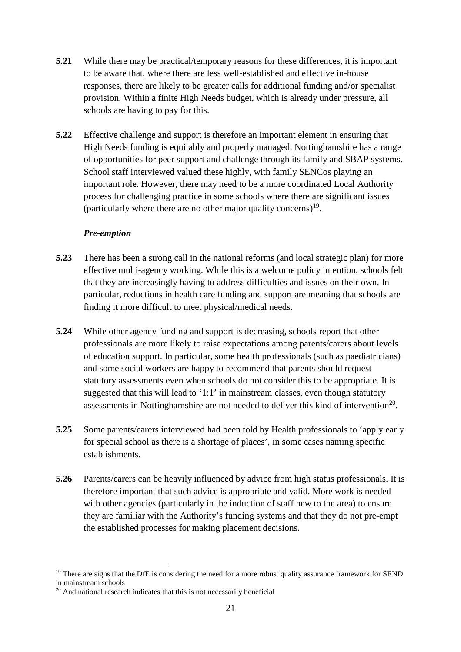- **5.21** While there may be practical/temporary reasons for these differences, it is important to be aware that, where there are less well-established and effective in-house responses, there are likely to be greater calls for additional funding and/or specialist provision. Within a finite High Needs budget, which is already under pressure, all schools are having to pay for this.
- **5.22** Effective challenge and support is therefore an important element in ensuring that High Needs funding is equitably and properly managed. Nottinghamshire has a range of opportunities for peer support and challenge through its family and SBAP systems. School staff interviewed valued these highly, with family SENCos playing an important role. However, there may need to be a more coordinated Local Authority process for challenging practice in some schools where there are significant issues (particularly where there are no other major quality concerns)<sup>19</sup>.

#### *Pre-emption*

- **5.23** There has been a strong call in the national reforms (and local strategic plan) for more effective multi-agency working. While this is a welcome policy intention, schools felt that they are increasingly having to address difficulties and issues on their own. In particular, reductions in health care funding and support are meaning that schools are finding it more difficult to meet physical/medical needs.
- **5.24** While other agency funding and support is decreasing, schools report that other professionals are more likely to raise expectations among parents/carers about levels of education support. In particular, some health professionals (such as paediatricians) and some social workers are happy to recommend that parents should request statutory assessments even when schools do not consider this to be appropriate. It is suggested that this will lead to '1:1' in mainstream classes, even though statutory assessments in Nottinghamshire are not needed to deliver this kind of intervention<sup>20</sup>.
- **5.25** Some parents/carers interviewed had been told by Health professionals to 'apply early for special school as there is a shortage of places', in some cases naming specific establishments.
- **5.26** Parents/carers can be heavily influenced by advice from high status professionals. It is therefore important that such advice is appropriate and valid. More work is needed with other agencies (particularly in the induction of staff new to the area) to ensure they are familiar with the Authority's funding systems and that they do not pre-empt the established processes for making placement decisions.

<sup>&</sup>lt;sup>19</sup> There are signs that the DfE is considering the need for a more robust quality assurance framework for SEND in mainstream schools

<sup>&</sup>lt;sup>20</sup> And national research indicates that this is not necessarily beneficial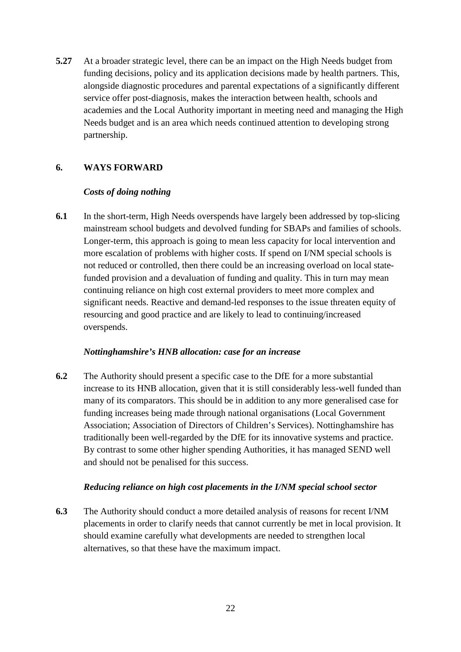**5.27** At a broader strategic level, there can be an impact on the High Needs budget from funding decisions, policy and its application decisions made by health partners. This, alongside diagnostic procedures and parental expectations of a significantly different service offer post-diagnosis, makes the interaction between health, schools and academies and the Local Authority important in meeting need and managing the High Needs budget and is an area which needs continued attention to developing strong partnership.

# **6. WAYS FORWARD**

## *Costs of doing nothing*

**6.1** In the short-term, High Needs overspends have largely been addressed by top-slicing mainstream school budgets and devolved funding for SBAPs and families of schools. Longer-term, this approach is going to mean less capacity for local intervention and more escalation of problems with higher costs. If spend on I/NM special schools is not reduced or controlled, then there could be an increasing overload on local statefunded provision and a devaluation of funding and quality. This in turn may mean continuing reliance on high cost external providers to meet more complex and significant needs. Reactive and demand-led responses to the issue threaten equity of resourcing and good practice and are likely to lead to continuing/increased overspends.

## *Nottinghamshire's HNB allocation: case for an increase*

**6.2** The Authority should present a specific case to the DfE for a more substantial increase to its HNB allocation, given that it is still considerably less-well funded than many of its comparators. This should be in addition to any more generalised case for funding increases being made through national organisations (Local Government Association; Association of Directors of Children's Services). Nottinghamshire has traditionally been well-regarded by the DfE for its innovative systems and practice. By contrast to some other higher spending Authorities, it has managed SEND well and should not be penalised for this success.

## *Reducing reliance on high cost placements in the I/NM special school sector*

**6.3** The Authority should conduct a more detailed analysis of reasons for recent I/NM placements in order to clarify needs that cannot currently be met in local provision. It should examine carefully what developments are needed to strengthen local alternatives, so that these have the maximum impact.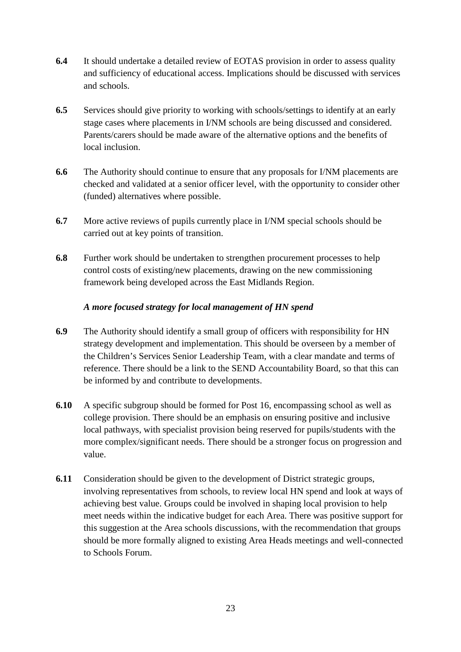- **6.4** It should undertake a detailed review of EOTAS provision in order to assess quality and sufficiency of educational access. Implications should be discussed with services and schools.
- **6.5** Services should give priority to working with schools/settings to identify at an early stage cases where placements in I/NM schools are being discussed and considered. Parents/carers should be made aware of the alternative options and the benefits of local inclusion.
- **6.6** The Authority should continue to ensure that any proposals for I/NM placements are checked and validated at a senior officer level, with the opportunity to consider other (funded) alternatives where possible.
- **6.7** More active reviews of pupils currently place in I/NM special schools should be carried out at key points of transition.
- **6.8** Further work should be undertaken to strengthen procurement processes to help control costs of existing/new placements, drawing on the new commissioning framework being developed across the East Midlands Region.

## *A more focused strategy for local management of HN spend*

- **6.9** The Authority should identify a small group of officers with responsibility for HN strategy development and implementation. This should be overseen by a member of the Children's Services Senior Leadership Team, with a clear mandate and terms of reference. There should be a link to the SEND Accountability Board, so that this can be informed by and contribute to developments.
- **6.10** A specific subgroup should be formed for Post 16, encompassing school as well as college provision. There should be an emphasis on ensuring positive and inclusive local pathways, with specialist provision being reserved for pupils/students with the more complex/significant needs. There should be a stronger focus on progression and value.
- **6.11** Consideration should be given to the development of District strategic groups, involving representatives from schools, to review local HN spend and look at ways of achieving best value. Groups could be involved in shaping local provision to help meet needs within the indicative budget for each Area. There was positive support for this suggestion at the Area schools discussions, with the recommendation that groups should be more formally aligned to existing Area Heads meetings and well-connected to Schools Forum.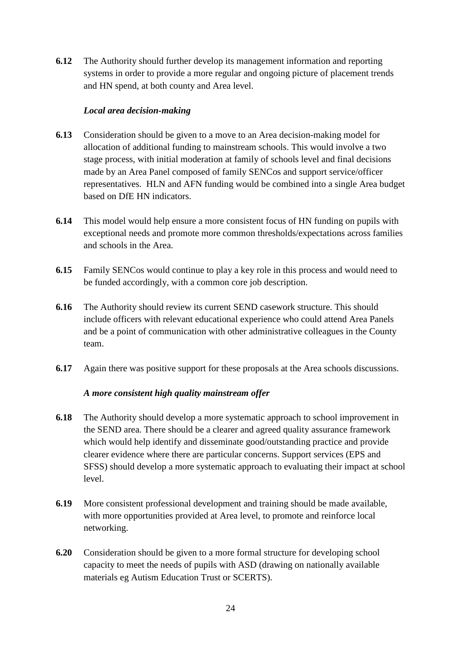**6.12** The Authority should further develop its management information and reporting systems in order to provide a more regular and ongoing picture of placement trends and HN spend, at both county and Area level.

## *Local area decision-making*

- **6.13** Consideration should be given to a move to an Area decision-making model for allocation of additional funding to mainstream schools. This would involve a two stage process, with initial moderation at family of schools level and final decisions made by an Area Panel composed of family SENCos and support service/officer representatives. HLN and AFN funding would be combined into a single Area budget based on DfE HN indicators.
- **6.14** This model would help ensure a more consistent focus of HN funding on pupils with exceptional needs and promote more common thresholds/expectations across families and schools in the Area.
- **6.15** Family SENCos would continue to play a key role in this process and would need to be funded accordingly, with a common core job description.
- **6.16** The Authority should review its current SEND casework structure. This should include officers with relevant educational experience who could attend Area Panels and be a point of communication with other administrative colleagues in the County team.
- **6.17** Again there was positive support for these proposals at the Area schools discussions.

## *A more consistent high quality mainstream offer*

- **6.18** The Authority should develop a more systematic approach to school improvement in the SEND area. There should be a clearer and agreed quality assurance framework which would help identify and disseminate good/outstanding practice and provide clearer evidence where there are particular concerns. Support services (EPS and SFSS) should develop a more systematic approach to evaluating their impact at school level.
- **6.19** More consistent professional development and training should be made available, with more opportunities provided at Area level, to promote and reinforce local networking.
- **6.20** Consideration should be given to a more formal structure for developing school capacity to meet the needs of pupils with ASD (drawing on nationally available materials eg Autism Education Trust or SCERTS).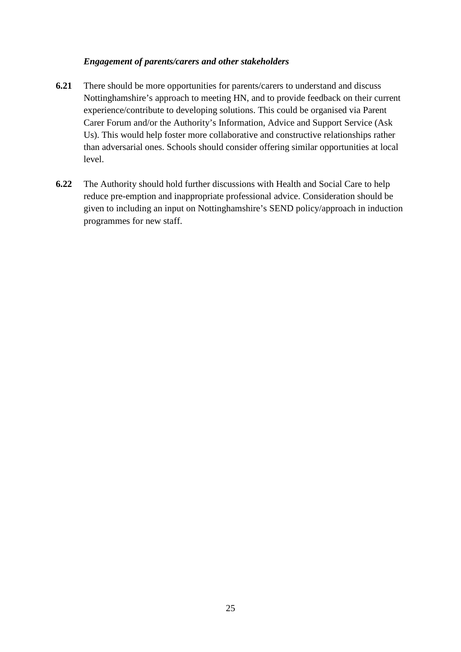#### *Engagement of parents/carers and other stakeholders*

- **6.21** There should be more opportunities for parents/carers to understand and discuss Nottinghamshire's approach to meeting HN, and to provide feedback on their current experience/contribute to developing solutions. This could be organised via Parent Carer Forum and/or the Authority's Information, Advice and Support Service (Ask Us). This would help foster more collaborative and constructive relationships rather than adversarial ones. Schools should consider offering similar opportunities at local level.
- **6.22** The Authority should hold further discussions with Health and Social Care to help reduce pre-emption and inappropriate professional advice. Consideration should be given to including an input on Nottinghamshire's SEND policy/approach in induction programmes for new staff.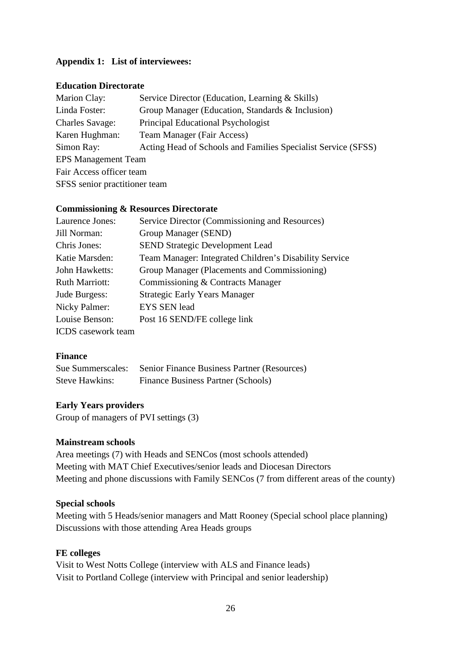## **Appendix 1: List of interviewees:**

#### **Education Directorate**

| Marion Clay:                  | Service Director (Education, Learning & Skills)               |  |
|-------------------------------|---------------------------------------------------------------|--|
| Linda Foster:                 | Group Manager (Education, Standards & Inclusion)              |  |
| <b>Charles Savage:</b>        | Principal Educational Psychologist                            |  |
| Karen Hughman:                | Team Manager (Fair Access)                                    |  |
| Simon Ray:                    | Acting Head of Schools and Families Specialist Service (SFSS) |  |
| <b>EPS Management Team</b>    |                                                               |  |
| Fair Access officer team      |                                                               |  |
| SFSS senior practitioner team |                                                               |  |

#### **Commissioning & Resources Directorate**

| Laurence Jones:           | Service Director (Commissioning and Resources)         |
|---------------------------|--------------------------------------------------------|
| Jill Norman:              | Group Manager (SEND)                                   |
| Chris Jones:              | <b>SEND Strategic Development Lead</b>                 |
| Katie Marsden:            | Team Manager: Integrated Children's Disability Service |
| John Hawketts:            | Group Manager (Placements and Commissioning)           |
| <b>Ruth Marriott:</b>     | Commissioning & Contracts Manager                      |
| Jude Burgess:             | <b>Strategic Early Years Manager</b>                   |
| Nicky Palmer:             | <b>EYS SEN lead</b>                                    |
| Louise Benson:            | Post 16 SEND/FE college link                           |
| <b>ICDS</b> casework team |                                                        |

#### **Finance**

| Sue Summerscales:     | Senior Finance Business Partner (Resources) |
|-----------------------|---------------------------------------------|
| <b>Steve Hawkins:</b> | <b>Finance Business Partner (Schools)</b>   |

#### **Early Years providers**

Group of managers of PVI settings (3)

#### **Mainstream schools**

Area meetings (7) with Heads and SENCos (most schools attended) Meeting with MAT Chief Executives/senior leads and Diocesan Directors Meeting and phone discussions with Family SENCos (7 from different areas of the county)

#### **Special schools**

Meeting with 5 Heads/senior managers and Matt Rooney (Special school place planning) Discussions with those attending Area Heads groups

#### **FE colleges**

Visit to West Notts College (interview with ALS and Finance leads) Visit to Portland College (interview with Principal and senior leadership)